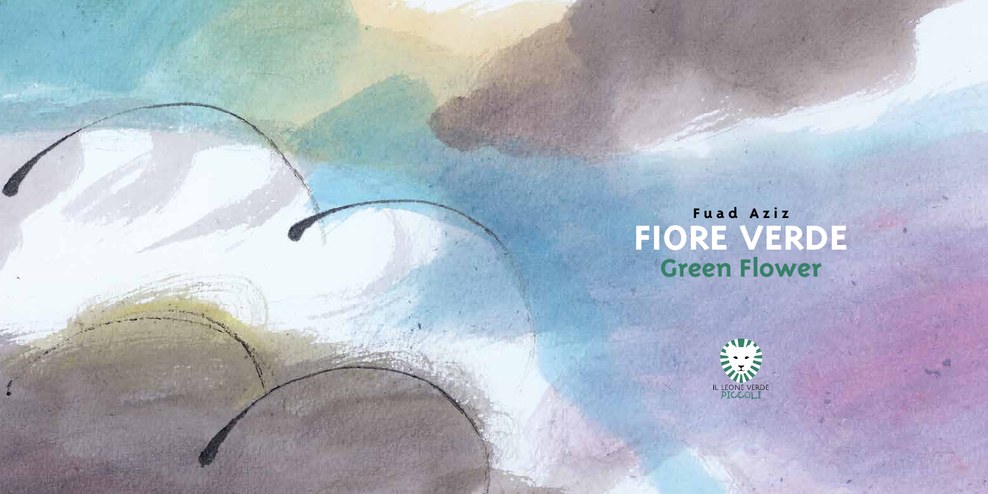## **Fuad Aziz FIORE VERDE Green Flower**

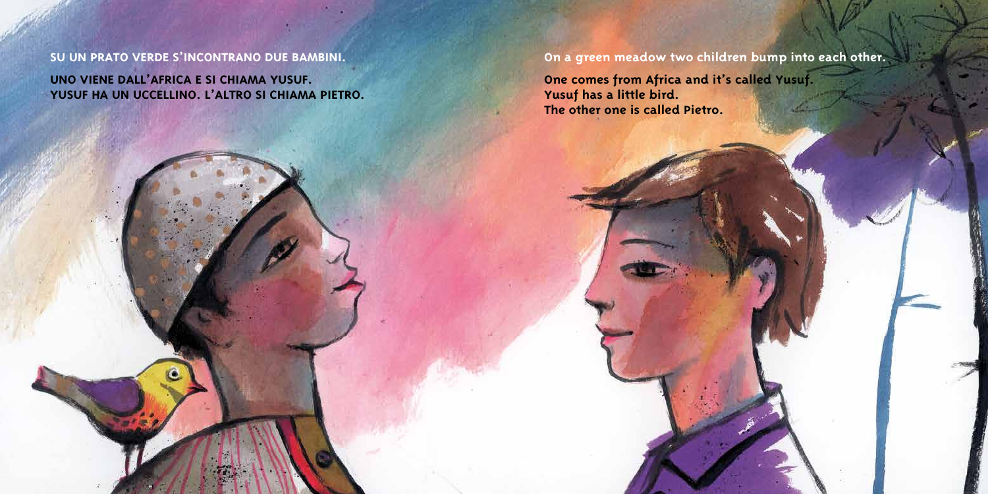**SU UN PRATO VERDE S'INCONTRANO DUE BAMBINI.**

**UNO VIENE DALL'AFRICA E SI CHIAMA YUSUF. YUSUF HA UN UCCELLINO. L'ALTRO SI CHIAMA PIETRO.** **On a green meadow two children bump into each other.**

**One comes from Africa and it's called Yusuf. Yusuf has a little bird. The other one is called Pietro.**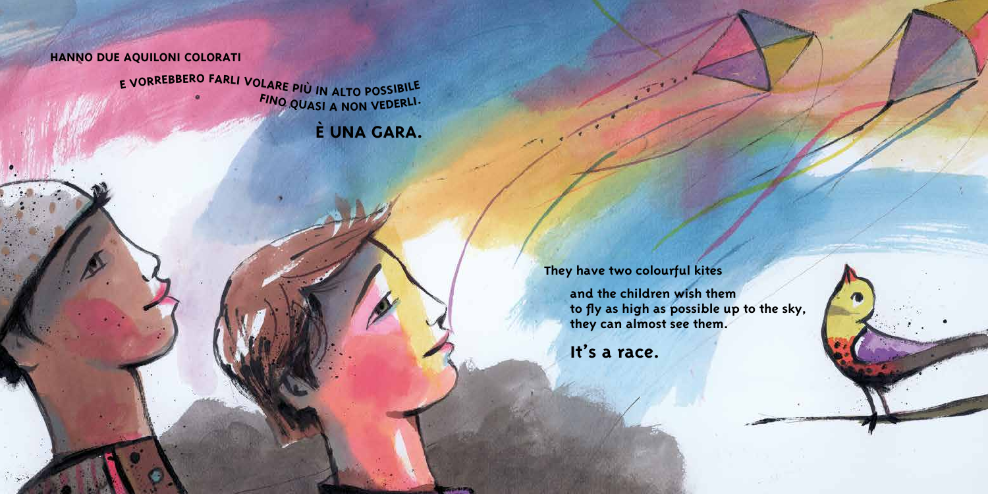## **HANNO DUE AQUILONI COLORATI**

E VORREBBERO FARLI VOLARE PIÙ IN ALTO POSSIBILE **<sup>F</sup>IN<sup>O</sup> <sup>Q</sup>UAS<sup>I</sup> <sup>A</sup> <sup>N</sup>O<sup>N</sup> <sup>V</sup>EDERLI.**

**È UNA GARA.**

**They have two colourful kites**

**and the children wish them to fly as high as possible up to the sky, they can almost see them.**

**It's a race.**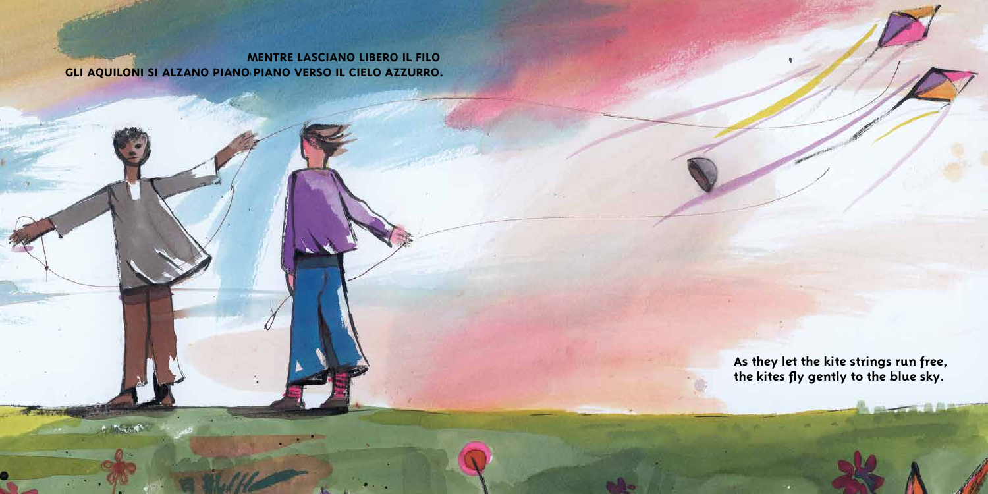**MENTRE LASCIANO LIBERO IL FILO GLI AQUILONI SI ALZANO PIANO PIANO VERSO IL CIELO AZZURRO.**

**COLLEGE** 

**As they let the kite strings run free, the kites fly gently to the blue sky.**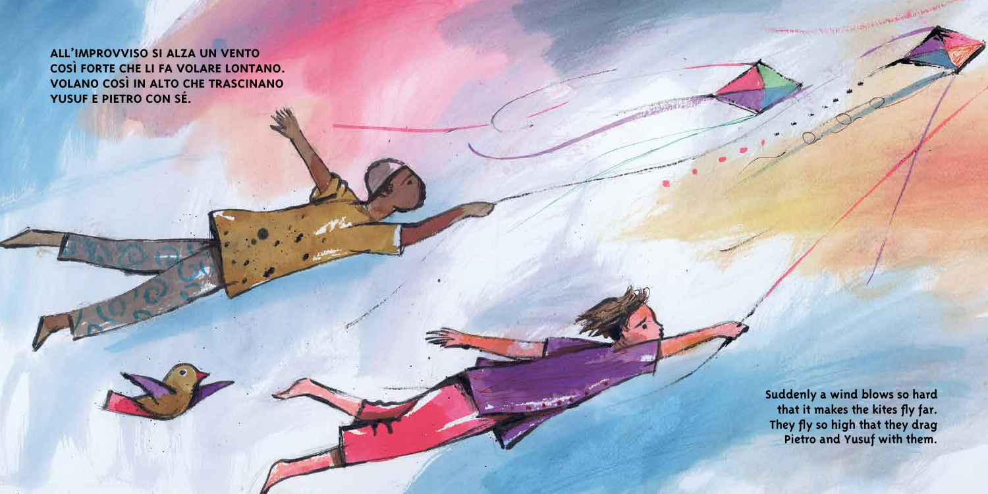**ALL'IMPROVVISO SI ALZA UN VENTO COSÌ FORTE CHE LI FA VOLARE LONTANO. VOLANO COSÌ IN ALTO CHE TRASCINANO YUSUF E PIETRO CON SÉ.**

> **Suddenly a wind blows so hard that it makes the kites fly far. They fly so high that they drag Pietro and Yusuf with them.**

The manager of Schon Hart Hart Holy Constitution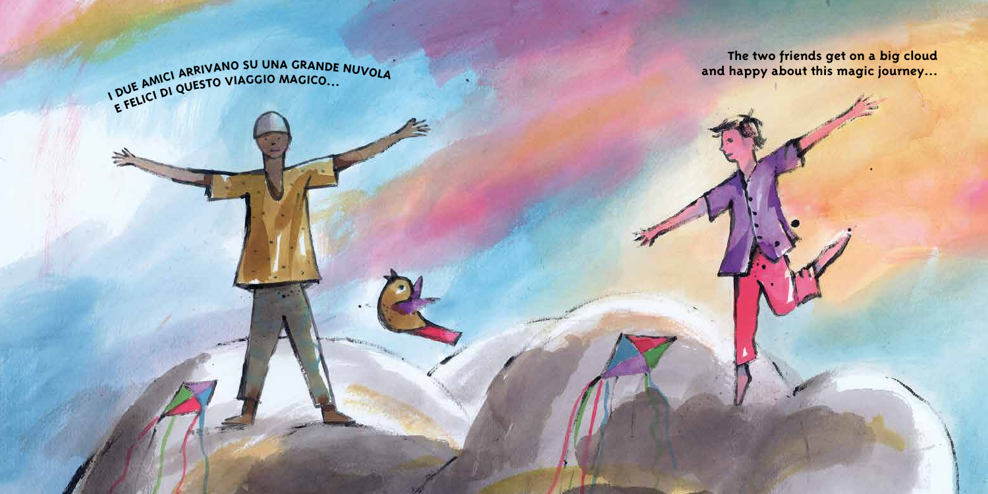**The two friends get on a big cloud and happy about this magic journey...**

 $\overline{D}$ AMICI ARRIVANO SU UNA GRANDE NUVOLA DUE AMICI MUESTO VIAGGIO MAGICO...